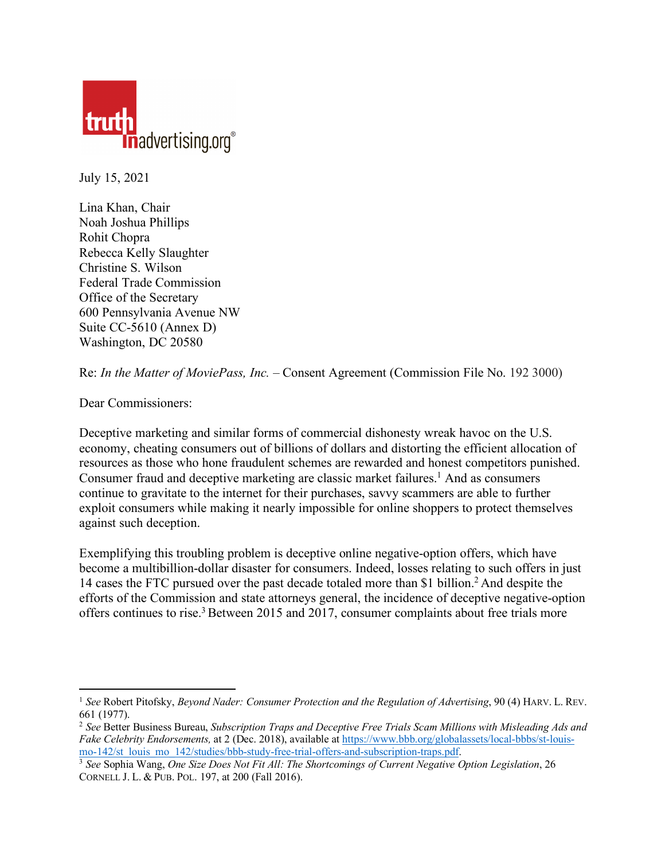

July 15, 2021

Lina Khan, Chair Noah Joshua Phillips Rohit Chopra Rebecca Kelly Slaughter Christine S. Wilson Federal Trade Commission Office of the Secretary 600 Pennsylvania Avenue NW Suite CC-5610 (Annex D) Washington, DC 20580

Re: *In the Matter of MoviePass, Inc.* – Consent Agreement (Commission File No. 192 3000)

Dear Commissioners:

 $\overline{a}$ 

Deceptive marketing and similar forms of commercial dishonesty wreak havoc on the U.S. economy, cheating consumers out of billions of dollars and distorting the efficient allocation of resources as those who hone fraudulent schemes are rewarded and honest competitors punished. Consumer fraud and deceptive marketing are classic market failures. <sup>1</sup> And as consumers continue to gravitate to the internet for their purchases, savvy scammers are able to further exploit consumers while making it nearly impossible for online shoppers to protect themselves against such deception.

Exemplifying this troubling problem is deceptive online negative-option offers, which have become a multibillion-dollar disaster for consumers. Indeed, losses relating to such offers in just 14 cases the FTC pursued over the past decade totaled more than \$1 billion.2 And despite the efforts of the Commission and state attorneys general, the incidence of deceptive negative-option offers continues to rise.<sup>3</sup> Between 2015 and 2017, consumer complaints about free trials more

<sup>1</sup> *See* Robert Pitofsky, *Beyond Nader: Consumer Protection and the Regulation of Advertising*, 90 (4) HARV. L. REV. 661 (1977).

<sup>2</sup> *See* Better Business Bureau, *Subscription Traps and Deceptive Free Trials Scam Millions with Misleading Ads and Fake Celebrity Endorsements,* at 2 (Dec. 2018), available at [https://www.bbb.org/globalassets/local-bbbs/st-louis](https://www.bbb.org/globalassets/local-bbbs/st-louis-mo-142/st_louis_mo_142/studies/bbb-study-free-trial-offers-and-subscription-traps.pdf)[mo-142/st\\_louis\\_mo\\_142/studies/bbb-study-free-trial-offers-and-subscription-traps.pdf.](https://www.bbb.org/globalassets/local-bbbs/st-louis-mo-142/st_louis_mo_142/studies/bbb-study-free-trial-offers-and-subscription-traps.pdf) 3 *See* Sophia Wang, *One Size Does Not Fit All: The Shortcomings of Current Negative Option Legislation*, 26

CORNELL J. L. & PUB. POL. 197, at 200 (Fall 2016).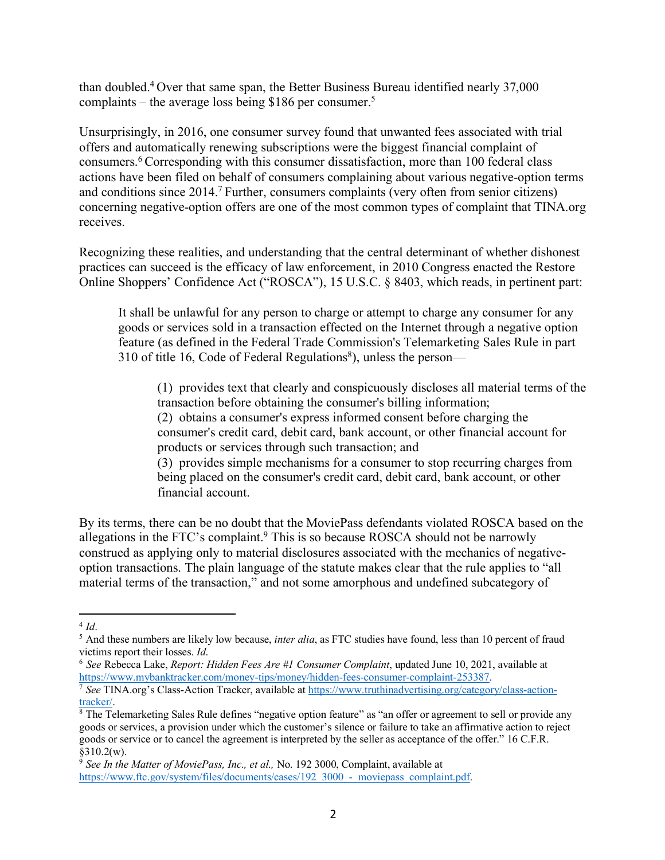than doubled.4 Over that same span, the Better Business Bureau identified nearly 37,000 complaints – the average loss being \$186 per consumer. 5

Unsurprisingly, in 2016, one consumer survey found that unwanted fees associated with trial offers and automatically renewing subscriptions were the biggest financial complaint of consumers.6 Corresponding with this consumer dissatisfaction, more than 100 federal class actions have been filed on behalf of consumers complaining about various negative-option terms and conditions since 2014.7 Further, consumers complaints (very often from senior citizens) concerning negative-option offers are one of the most common types of complaint that TINA.org receives.

Recognizing these realities, and understanding that the central determinant of whether dishonest practices can succeed is the efficacy of law enforcement, in 2010 Congress enacted the Restore Online Shoppers' Confidence Act ("ROSCA"), 15 U.S.C. § 8403, which reads, in pertinent part:

It shall be unlawful for any person to charge or attempt to charge any consumer for any goods or services sold in a transaction effected on the Internet through a negative option feature (as defined in the Federal Trade Commission's Telemarketing Sales Rule in part 310 of title 16, Code of Federal Regulations<sup>8</sup>), unless the person—

(1) provides text that clearly and conspicuously discloses all material terms of the transaction before obtaining the consumer's billing information;

(2) obtains a consumer's express informed consent before charging the consumer's credit card, debit card, bank account, or other financial account for products or services through such transaction; and

(3) provides simple mechanisms for a consumer to stop recurring charges from being placed on the consumer's credit card, debit card, bank account, or other financial account.

By its terms, there can be no doubt that the MoviePass defendants violated ROSCA based on the allegations in the FTC's complaint. <sup>9</sup> This is so because ROSCA should not be narrowly construed as applying only to material disclosures associated with the mechanics of negativeoption transactions. The plain language of the statute makes clear that the rule applies to "all material terms of the transaction," and not some amorphous and undefined subcategory of

 $\overline{a}$ <sup>4</sup> *Id*.

<sup>5</sup> And these numbers are likely low because, *inter alia*, as FTC studies have found, less than 10 percent of fraud victims report their losses. *Id*.

<sup>&</sup>lt;sup>6</sup> See Rebecca Lake, *Report: Hidden Fees Are #1 Consumer Complaint*, updated June 10, 2021, available at https://www.mybanktracker.com/money-tips/money/hidden-fees-consumer-complaint-253387.

 $\frac{7}{\text{See TINA.org}}$ 's Class-Action Tracker, available a[t https://www.truthinadvertising.org/category/class-action-](https://www.truthinadvertising.org/category/class-action-tracker/) $\frac{\text{tracker/}}{8}$  The Telemarketing Sales Rule defines "negative option feature" as "an offer or agreement to sell or provide any

goods or services, a provision under which the customer's silence or failure to take an affirmative action to reject goods or service or to cancel the agreement is interpreted by the seller as acceptance of the offer." 16 C.F.R.  $§310.2(w)$ .

<sup>9</sup> *See In the Matter of MoviePass, Inc., et al.,* No. 192 3000, Complaint, available at https://www.ftc.gov/system/files/documents/cases/192\_3000\_-\_moviepass\_complaint.pdf.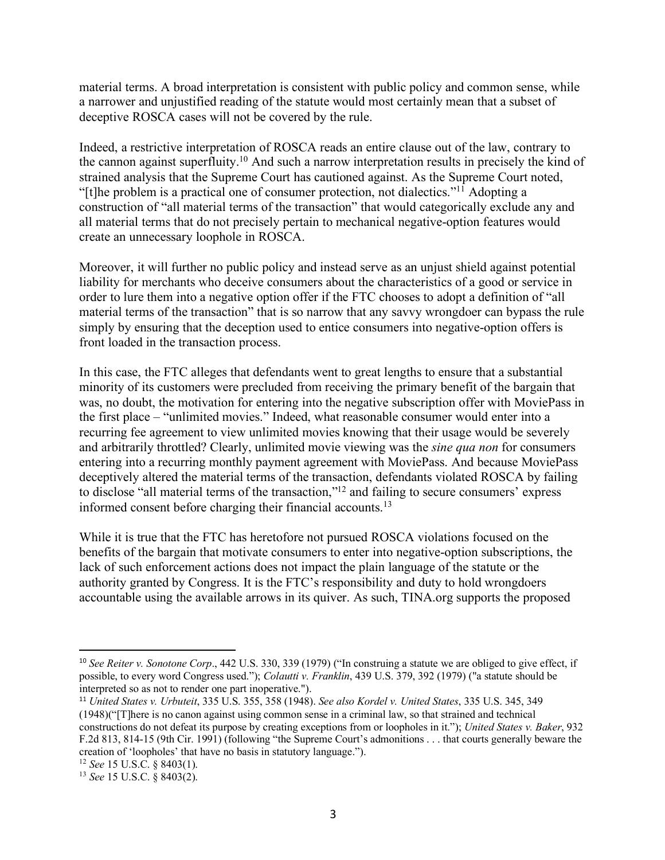material terms. A broad interpretation is consistent with public policy and common sense, while a narrower and unjustified reading of the statute would most certainly mean that a subset of deceptive ROSCA cases will not be covered by the rule.

Indeed, a restrictive interpretation of ROSCA reads an entire clause out of the law, contrary to the cannon against superfluity.10 And such a narrow interpretation results in precisely the kind of strained analysis that the Supreme Court has cautioned against. As the Supreme Court noted, "[t]he problem is a practical one of consumer protection, not dialectics."11 Adopting a construction of "all material terms of the transaction" that would categorically exclude any and all material terms that do not precisely pertain to mechanical negative-option features would create an unnecessary loophole in ROSCA.

Moreover, it will further no public policy and instead serve as an unjust shield against potential liability for merchants who deceive consumers about the characteristics of a good or service in order to lure them into a negative option offer if the FTC chooses to adopt a definition of "all material terms of the transaction" that is so narrow that any savvy wrongdoer can bypass the rule simply by ensuring that the deception used to entice consumers into negative-option offers is front loaded in the transaction process.

In this case, the FTC alleges that defendants went to great lengths to ensure that a substantial minority of its customers were precluded from receiving the primary benefit of the bargain that was, no doubt, the motivation for entering into the negative subscription offer with MoviePass in the first place – "unlimited movies." Indeed, what reasonable consumer would enter into a recurring fee agreement to view unlimited movies knowing that their usage would be severely and arbitrarily throttled? Clearly, unlimited movie viewing was the *sine qua non* for consumers entering into a recurring monthly payment agreement with MoviePass. And because MoviePass deceptively altered the material terms of the transaction, defendants violated ROSCA by failing to disclose "all material terms of the transaction,"12 and failing to secure consumers' express informed consent before charging their financial accounts.13

While it is true that the FTC has heretofore not pursued ROSCA violations focused on the benefits of the bargain that motivate consumers to enter into negative-option subscriptions, the lack of such enforcement actions does not impact the plain language of the statute or the authority granted by Congress. It is the FTC's responsibility and duty to hold wrongdoers accountable using the available arrows in its quiver. As such, TINA.org supports the proposed

 <sup>10</sup> *See Reiter v. Sonotone Corp*., 442 U.S. 330, 339 (1979) ("In construing a statute we are obliged to give effect, if possible, to every word Congress used."); *Colautti v. Franklin*, 439 U.S. 379, 392 (1979) ("a statute should be interpreted so as not to render one part inoperative.").

<sup>11</sup> *United States v. Urbuteit*, 335 U.S. 355, 358 (1948). *See also Kordel v. United States*, 335 U.S. 345, 349 (1948)("[T]here is no canon against using common sense in a criminal law, so that strained and technical constructions do not defeat its purpose by creating exceptions from or loopholes in it."); *United States v. Baker*, 932 F.2d 813, 814-15 (9th Cir. 1991) (following "the Supreme Court's admonitions . . . that courts generally beware the creation of 'loopholes' that have no basis in statutory language.").

<sup>12</sup> *See* 15 U.S.C. § 8403(1).

<sup>13</sup> *See* 15 U.S.C. § 8403(2).